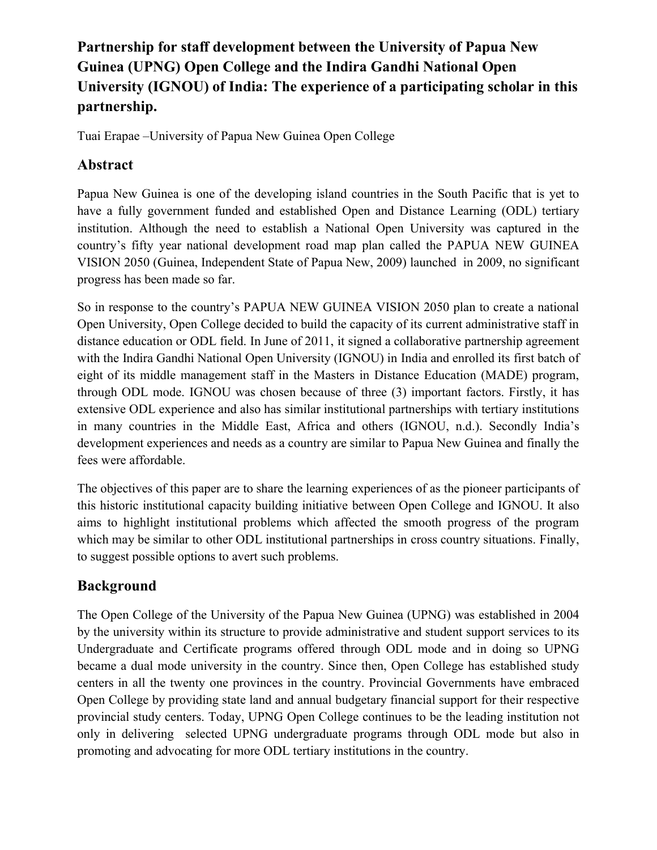# **Partnership for staff development between the University of Papua New Guinea (UPNG) Open College and the Indira Gandhi National Open University (IGNOU) of India: The experience of a participating scholar in this partnership.**

Tuai Erapae –University of Papua New Guinea Open College

## **Abstract**

Papua New Guinea is one of the developing island countries in the South Pacific that is yet to have a fully government funded and established Open and Distance Learning (ODL) tertiary institution. Although the need to establish a National Open University was captured in the country's fifty year national development road map plan called the PAPUA NEW GUINEA VISION 2050 (Guinea, Independent State of Papua New, 2009) launched in 2009, no significant progress has been made so far.

So in response to the country's PAPUA NEW GUINEA VISION 2050 plan to create a national Open University, Open College decided to build the capacity of its current administrative staff in distance education or ODL field. In June of 2011, it signed a collaborative partnership agreement with the Indira Gandhi National Open University (IGNOU) in India and enrolled its first batch of eight of its middle management staff in the Masters in Distance Education (MADE) program, through ODL mode. IGNOU was chosen because of three (3) important factors. Firstly, it has extensive ODL experience and also has similar institutional partnerships with tertiary institutions in many countries in the Middle East, Africa and others (IGNOU, n.d.). Secondly India's development experiences and needs as a country are similar to Papua New Guinea and finally the fees were affordable.

The objectives of this paper are to share the learning experiences of as the pioneer participants of this historic institutional capacity building initiative between Open College and IGNOU. It also aims to highlight institutional problems which affected the smooth progress of the program which may be similar to other ODL institutional partnerships in cross country situations. Finally, to suggest possible options to avert such problems.

## **Background**

The Open College of the University of the Papua New Guinea (UPNG) was established in 2004 by the university within its structure to provide administrative and student support services to its Undergraduate and Certificate programs offered through ODL mode and in doing so UPNG became a dual mode university in the country. Since then, Open College has established study centers in all the twenty one provinces in the country. Provincial Governments have embraced Open College by providing state land and annual budgetary financial support for their respective provincial study centers. Today, UPNG Open College continues to be the leading institution not only in delivering selected UPNG undergraduate programs through ODL mode but also in promoting and advocating for more ODL tertiary institutions in the country.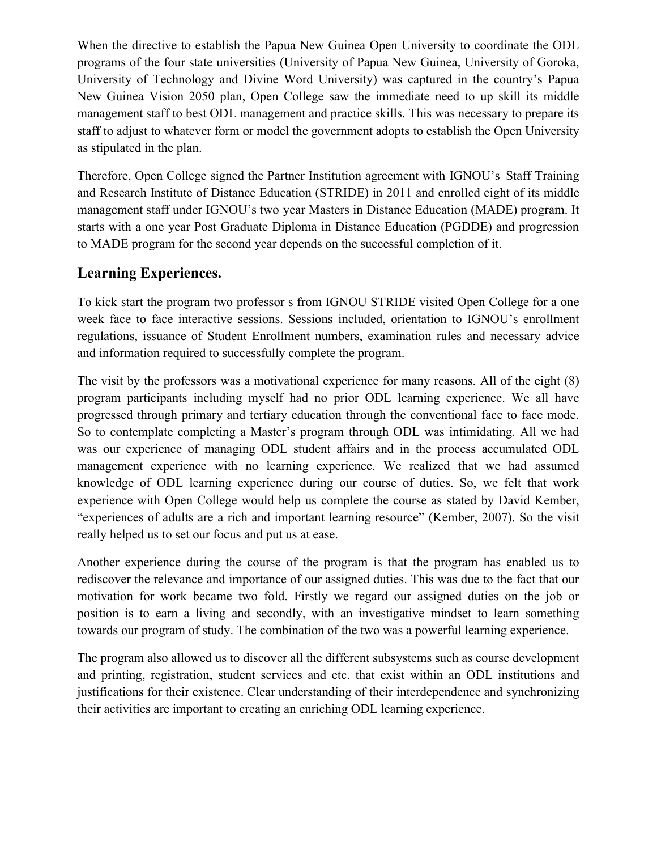When the directive to establish the Papua New Guinea Open University to coordinate the ODL programs of the four state universities (University of Papua New Guinea, University of Goroka, University of Technology and Divine Word University) was captured in the country's Papua New Guinea Vision 2050 plan, Open College saw the immediate need to up skill its middle management staff to best ODL management and practice skills. This was necessary to prepare its staff to adjust to whatever form or model the government adopts to establish the Open University as stipulated in the plan.

Therefore, Open College signed the Partner Institution agreement with IGNOU's Staff Training and Research Institute of Distance Education (STRIDE) in 2011 and enrolled eight of its middle management staff under IGNOU's two year Masters in Distance Education (MADE) program. It starts with a one year Post Graduate Diploma in Distance Education (PGDDE) and progression to MADE program for the second year depends on the successful completion of it.

#### **Learning Experiences.**

To kick start the program two professor s from IGNOU STRIDE visited Open College for a one week face to face interactive sessions. Sessions included, orientation to IGNOU's enrollment regulations, issuance of Student Enrollment numbers, examination rules and necessary advice and information required to successfully complete the program.

The visit by the professors was a motivational experience for many reasons. All of the eight (8) program participants including myself had no prior ODL learning experience. We all have progressed through primary and tertiary education through the conventional face to face mode. So to contemplate completing a Master's program through ODL was intimidating. All we had was our experience of managing ODL student affairs and in the process accumulated ODL management experience with no learning experience. We realized that we had assumed knowledge of ODL learning experience during our course of duties. So, we felt that work experience with Open College would help us complete the course as stated by David Kember, "experiences of adults are a rich and important learning resource" (Kember, 2007). So the visit really helped us to set our focus and put us at ease.

Another experience during the course of the program is that the program has enabled us to rediscover the relevance and importance of our assigned duties. This was due to the fact that our motivation for work became two fold. Firstly we regard our assigned duties on the job or position is to earn a living and secondly, with an investigative mindset to learn something towards our program of study. The combination of the two was a powerful learning experience.

The program also allowed us to discover all the different subsystems such as course development and printing, registration, student services and etc. that exist within an ODL institutions and justifications for their existence. Clear understanding of their interdependence and synchronizing their activities are important to creating an enriching ODL learning experience.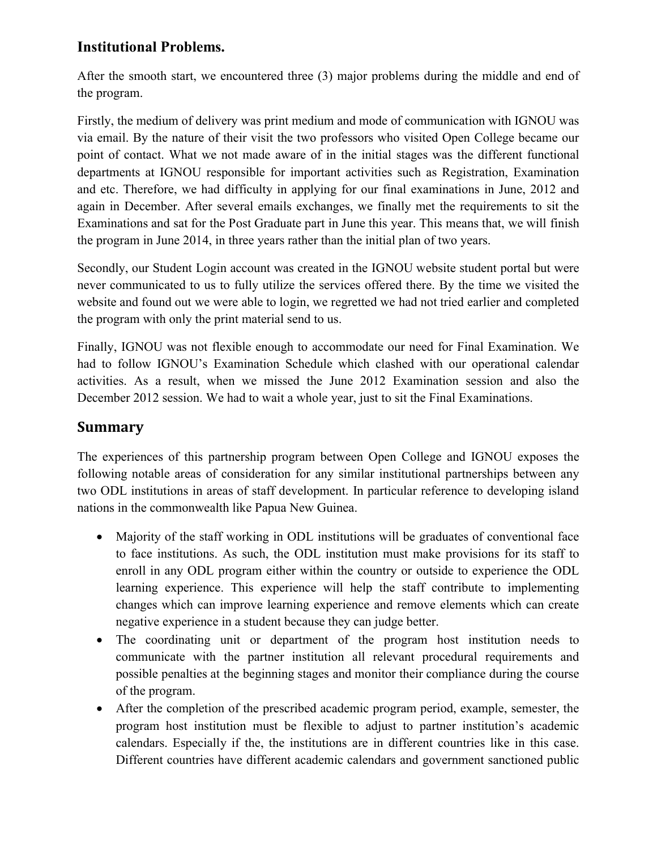### **Institutional Problems.**

After the smooth start, we encountered three (3) major problems during the middle and end of the program.

Firstly, the medium of delivery was print medium and mode of communication with IGNOU was via email. By the nature of their visit the two professors who visited Open College became our point of contact. What we not made aware of in the initial stages was the different functional departments at IGNOU responsible for important activities such as Registration, Examination and etc. Therefore, we had difficulty in applying for our final examinations in June, 2012 and again in December. After several emails exchanges, we finally met the requirements to sit the Examinations and sat for the Post Graduate part in June this year. This means that, we will finish the program in June 2014, in three years rather than the initial plan of two years.

Secondly, our Student Login account was created in the IGNOU website student portal but were never communicated to us to fully utilize the services offered there. By the time we visited the website and found out we were able to login, we regretted we had not tried earlier and completed the program with only the print material send to us.

Finally, IGNOU was not flexible enough to accommodate our need for Final Examination. We had to follow IGNOU's Examination Schedule which clashed with our operational calendar activities. As a result, when we missed the June 2012 Examination session and also the December 2012 session. We had to wait a whole year, just to sit the Final Examinations.

#### **Summary**

The experiences of this partnership program between Open College and IGNOU exposes the following notable areas of consideration for any similar institutional partnerships between any two ODL institutions in areas of staff development. In particular reference to developing island nations in the commonwealth like Papua New Guinea.

- Majority of the staff working in ODL institutions will be graduates of conventional face to face institutions. As such, the ODL institution must make provisions for its staff to enroll in any ODL program either within the country or outside to experience the ODL learning experience. This experience will help the staff contribute to implementing changes which can improve learning experience and remove elements which can create negative experience in a student because they can judge better.
- The coordinating unit or department of the program host institution needs to communicate with the partner institution all relevant procedural requirements and possible penalties at the beginning stages and monitor their compliance during the course of the program.
- After the completion of the prescribed academic program period, example, semester, the program host institution must be flexible to adjust to partner institution's academic calendars. Especially if the, the institutions are in different countries like in this case. Different countries have different academic calendars and government sanctioned public